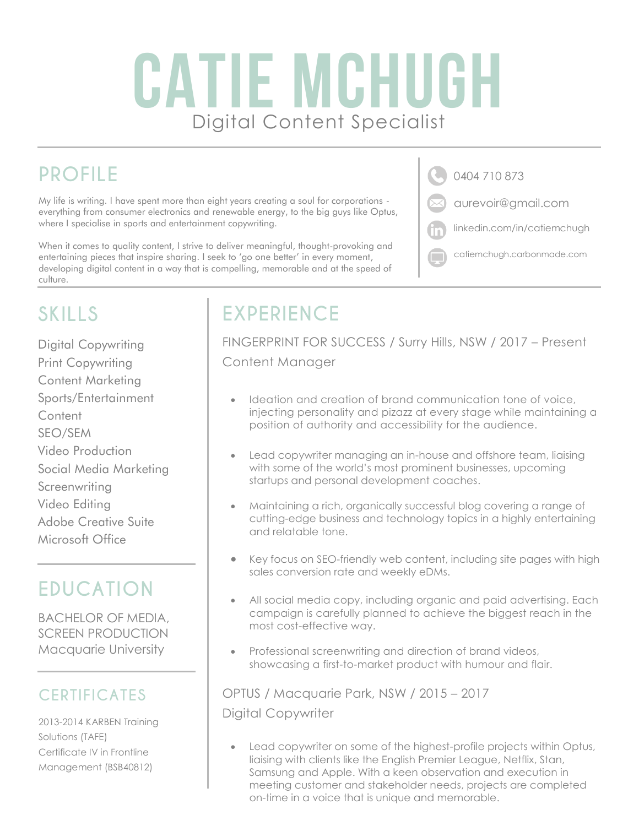# CATIE MCHUGH Digital Content Specialist

## **PROFILE**

My life is writing. I have spent more than eight years creating a soul for corporations everything from consumer electronics and renewable energy, to the big guys like Optus, where I specialise in sports and entertainment copywriting.

When it comes to quality content, I strive to deliver meaningful, thought-provoking and entertaining pieces that inspire sharing. I seek to 'go one better' in every moment, developing digital content in a way that is compelling, memorable and at the speed of culture.

0404 710 873

aurevoir@gmail.com

- linkedin.com/in/catiemchugh
- catiemchugh.carbonmade.com

# **SKILLS**

Digital Copywriting Print Copywriting Content Marketing Sports/Entertainment **Content** SEO/SEM Video Production Social Media Marketing **Screenwriting** Video Editing Adobe Creative Suite Microsoft Office

### **EDUCATION**

BACHELOR OF MEDIA, SCREEN PRODUCTION Macquarie University

#### **CERTIFICATES**

2013-2014 KARBEN Training Solutions (TAFE) Certificate IV in Frontline Management (BSB40812)

## **EXPERIENCE**

FINGERPRINT FOR SUCCESS / Surry Hills, NSW / 2017 – Present Content Manager

- Ideation and creation of brand communication tone of voice, injecting personality and pizazz at every stage while maintaining a position of authority and accessibility for the audience.
- Lead copywriter managing an in-house and offshore team, liaising with some of the world's most prominent businesses, upcoming startups and personal development coaches.
- Maintaining a rich, organically successful blog covering a range of cutting-edge business and technology topics in a highly entertaining and relatable tone.
- Key focus on SEO-friendly web content, including site pages with high sales conversion rate and weekly eDMs.
- All social media copy, including organic and paid advertising. Each campaign is carefully planned to achieve the biggest reach in the most cost-effective way.
- Professional screenwriting and direction of brand videos, showcasing a first-to-market product with humour and flair.

OPTUS / Macquarie Park, NSW / 2015 – 2017 Digital Copywriter

Lead copywriter on some of the highest-profile projects within Optus, liaising with clients like the English Premier League, Netflix, Stan, Samsung and Apple. With a keen observation and execution in meeting customer and stakeholder needs, projects are completed on-time in a voice that is unique and memorable.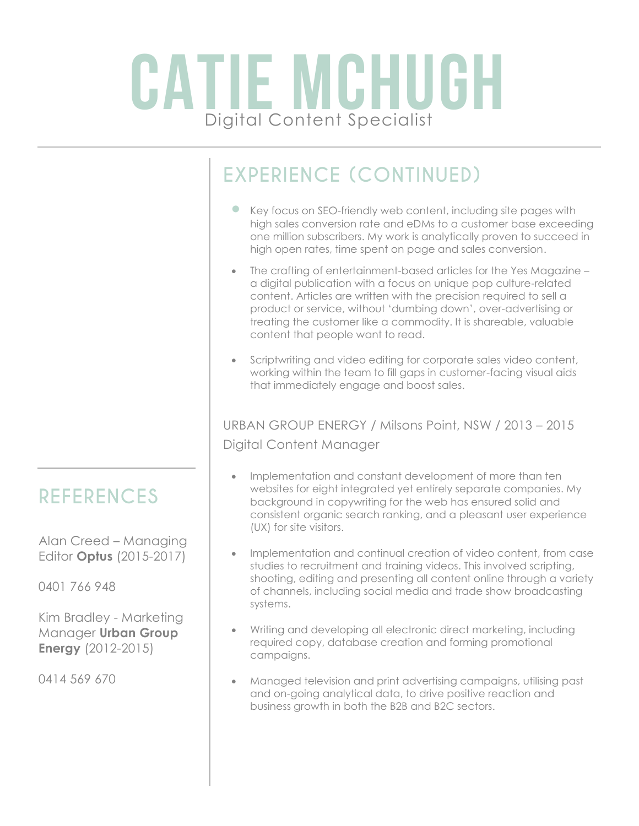# CATIE MCHUGH Digital Content Specialist

# **EXPERIENCE (CONTINUED)**

- Key focus on SEO-friendly web content, including site pages with high sales conversion rate and eDMs to a customer base exceeding one million subscribers. My work is analytically proven to succeed in high open rates, time spent on page and sales conversion.
- The crafting of entertainment-based articles for the Yes Magazine a digital publication with a focus on unique pop culture-related content. Articles are written with the precision required to sell a product or service, without 'dumbing down', over-advertising or treating the customer like a commodity. It is shareable, valuable content that people want to read.
- Scriptwriting and video editing for corporate sales video content, working within the team to fill gaps in customer-facing visual aids that immediately engage and boost sales.

#### URBAN GROUP ENERGY / Milsons Point, NSW / 2013 – 2015 Digital Content Manager

- Implementation and constant development of more than ten websites for eight integrated yet entirely separate companies. My background in copywriting for the web has ensured solid and consistent organic search ranking, and a pleasant user experience (UX) for site visitors.
- Implementation and continual creation of video content, from case studies to recruitment and training videos. This involved scripting, shooting, editing and presenting all content online through a variety of channels, including social media and trade show broadcasting systems.
- Writing and developing all electronic direct marketing, including required copy, database creation and forming promotional campaigns.
- Managed television and print advertising campaigns, utilising past and on-going analytical data, to drive positive reaction and business growth in both the B2B and B2C sectors.

### **REFERENCES**

Alan Creed – Managing Editor **Optus** (2015-2017)

0401 766 948

Kim Bradley - Marketing Manager **Urban Group Energy** (2012-2015)

0414 569 670